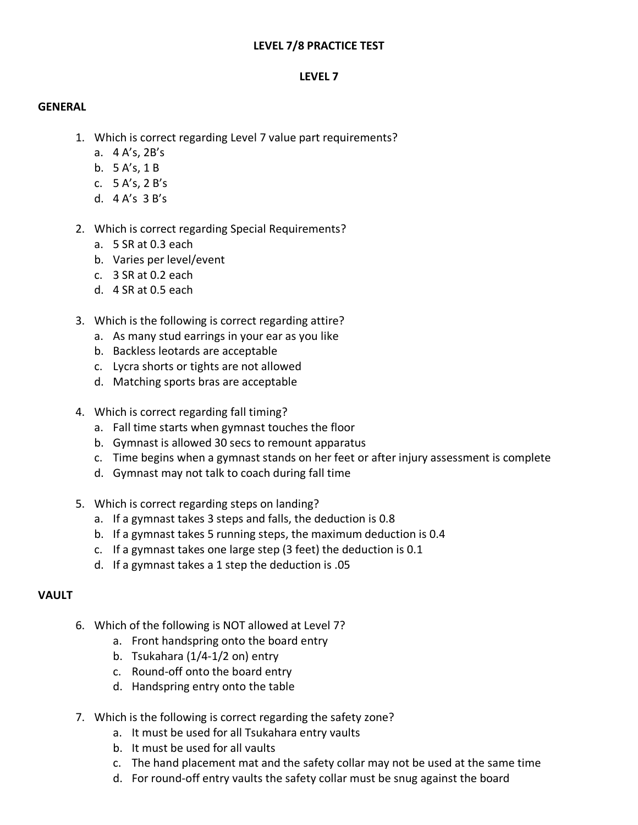# **LEVEL 7/8 PRACTICE TEST**

# **LEVEL 7**

#### **GENERAL**

- 1. Which is correct regarding Level 7 value part requirements?
	- a. 4 A's, 2B's
	- b. 5 A's, 1 B
	- c. 5 A's, 2 B's
	- d. 4 A's 3 B's
- 2. Which is correct regarding Special Requirements?
	- a. 5 SR at 0.3 each
	- b. Varies per level/event
	- c. 3 SR at 0.2 each
	- d. 4 SR at 0.5 each
- 3. Which is the following is correct regarding attire?
	- a. As many stud earrings in your ear as you like
	- b. Backless leotards are acceptable
	- c. Lycra shorts or tights are not allowed
	- d. Matching sports bras are acceptable
- 4. Which is correct regarding fall timing?
	- a. Fall time starts when gymnast touches the floor
	- b. Gymnast is allowed 30 secs to remount apparatus
	- c. Time begins when a gymnast stands on her feet or after injury assessment is complete
	- d. Gymnast may not talk to coach during fall time
- 5. Which is correct regarding steps on landing?
	- a. If a gymnast takes 3 steps and falls, the deduction is 0.8
	- b. If a gymnast takes 5 running steps, the maximum deduction is 0.4
	- c. If a gymnast takes one large step (3 feet) the deduction is 0.1
	- d. If a gymnast takes a 1 step the deduction is .05

# **VAULT**

- 6. Which of the following is NOT allowed at Level 7?
	- a. Front handspring onto the board entry
	- b. Tsukahara (1/4-1/2 on) entry
	- c. Round-off onto the board entry
	- d. Handspring entry onto the table
- 7. Which is the following is correct regarding the safety zone?
	- a. It must be used for all Tsukahara entry vaults
	- b. It must be used for all vaults
	- c. The hand placement mat and the safety collar may not be used at the same time
	- d. For round-off entry vaults the safety collar must be snug against the board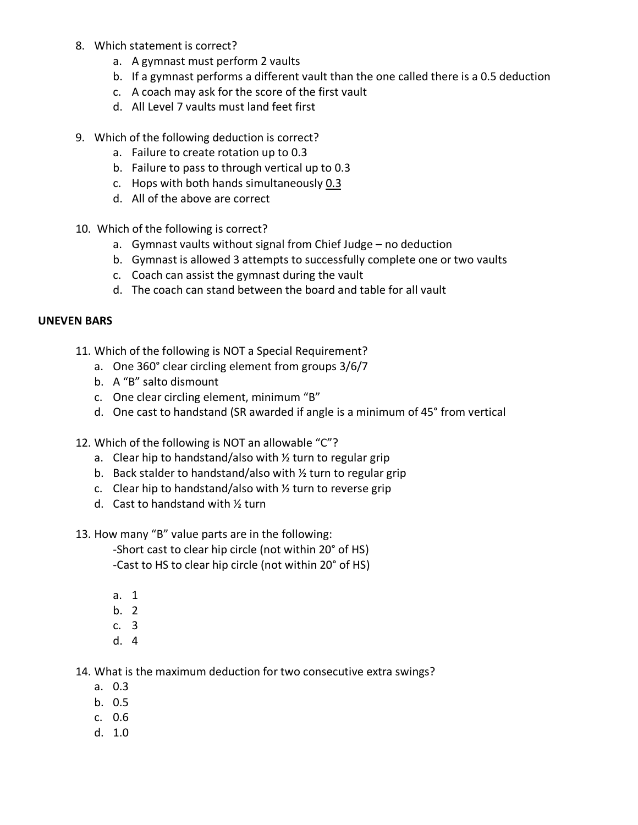- 8. Which statement is correct?
	- a. A gymnast must perform 2 vaults
	- b. If a gymnast performs a different vault than the one called there is a 0.5 deduction
	- c. A coach may ask for the score of the first vault
	- d. All Level 7 vaults must land feet first
- 9. Which of the following deduction is correct?
	- a. Failure to create rotation up to 0.3
	- b. Failure to pass to through vertical up to 0.3
	- c. Hops with both hands simultaneously 0.3
	- d. All of the above are correct
- 10. Which of the following is correct?
	- a. Gymnast vaults without signal from Chief Judge no deduction
	- b. Gymnast is allowed 3 attempts to successfully complete one or two vaults
	- c. Coach can assist the gymnast during the vault
	- d. The coach can stand between the board and table for all vault

# **UNEVEN BARS**

- 11. Which of the following is NOT a Special Requirement?
	- a. One 360° clear circling element from groups 3/6/7
	- b. A "B" salto dismount
	- c. One clear circling element, minimum "B"
	- d. One cast to handstand (SR awarded if angle is a minimum of 45° from vertical
- 12. Which of the following is NOT an allowable "C"?
	- a. Clear hip to handstand/also with  $\frac{1}{2}$  turn to regular grip
	- b. Back stalder to handstand/also with ½ turn to regular grip
	- c. Clear hip to handstand/also with ½ turn to reverse grip
	- d. Cast to handstand with ½ turn
- 13. How many "B" value parts are in the following:

-Short cast to clear hip circle (not within 20° of HS) -Cast to HS to clear hip circle (not within 20° of HS)

- a. 1
- b. 2
- c. 3
- d. 4

14. What is the maximum deduction for two consecutive extra swings?

- a. 0.3
- b. 0.5
- c. 0.6
- d. 1.0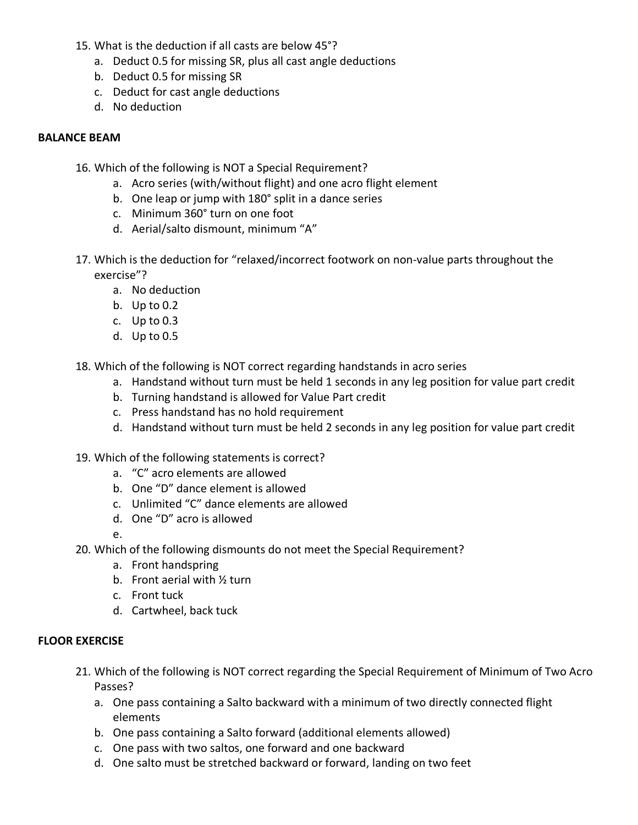- 15. What is the deduction if all casts are below 45°?
	- a. Deduct 0.5 for missing SR, plus all cast angle deductions
	- b. Deduct 0.5 for missing SR
	- c. Deduct for cast angle deductions
	- d. No deduction

# **BALANCE BEAM**

- 16. Which of the following is NOT a Special Requirement?
	- a. Acro series (with/without flight) and one acro flight element
	- b. One leap or jump with 180° split in a dance series
	- c. Minimum 360° turn on one foot
	- d. Aerial/salto dismount, minimum "A"
- 17. Which is the deduction for "relaxed/incorrect footwork on non-value parts throughout the exercise"?
	- a. No deduction
	- b. Up to 0.2
	- c. Up to 0.3
	- d. Up to 0.5

18. Which of the following is NOT correct regarding handstands in acro series

- a. Handstand without turn must be held 1 seconds in any leg position for value part credit
- b. Turning handstand is allowed for Value Part credit
- c. Press handstand has no hold requirement
- d. Handstand without turn must be held 2 seconds in any leg position for value part credit
- 19. Which of the following statements is correct?
	- a. "C" acro elements are allowed
	- b. One "D" dance element is allowed
	- c. Unlimited "C" dance elements are allowed
	- d. One "D" acro is allowed
	- e.
- 20. Which of the following dismounts do not meet the Special Requirement?
	- a. Front handspring
	- b. Front aerial with ½ turn
	- c. Front tuck
	- d. Cartwheel, back tuck

# **FLOOR EXERCISE**

- 21. Which of the following is NOT correct regarding the Special Requirement of Minimum of Two Acro Passes?
	- a. One pass containing a Salto backward with a minimum of two directly connected flight elements
	- b. One pass containing a Salto forward (additional elements allowed)
	- c. One pass with two saltos, one forward and one backward
	- d. One salto must be stretched backward or forward, landing on two feet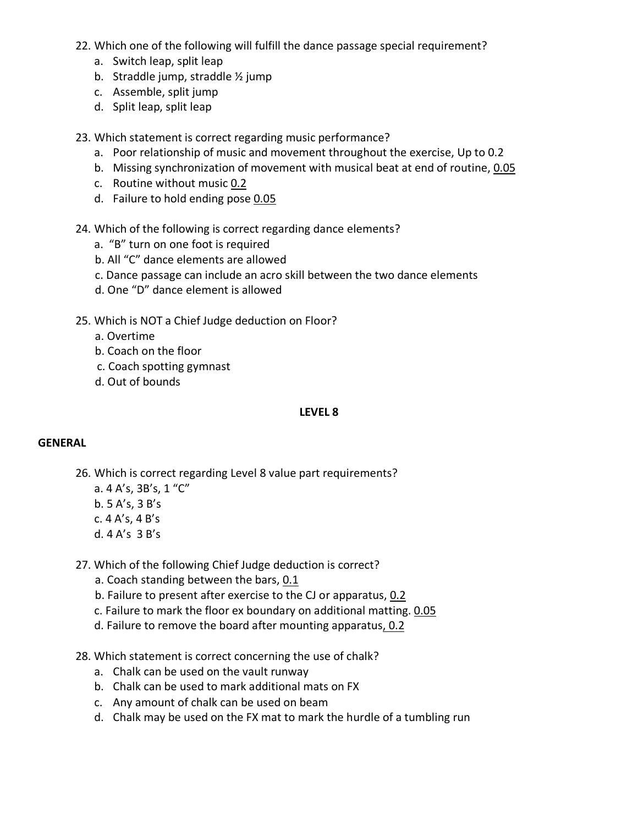- 22. Which one of the following will fulfill the dance passage special requirement?
	- a. Switch leap, split leap
	- b. Straddle jump, straddle ½ jump
	- c. Assemble, split jump
	- d. Split leap, split leap
- 23. Which statement is correct regarding music performance?
	- a. Poor relationship of music and movement throughout the exercise, Up to 0.2
	- b. Missing synchronization of movement with musical beat at end of routine, 0.05
	- c. Routine without music 0.2
	- d. Failure to hold ending pose 0.05
- 24. Which of the following is correct regarding dance elements?
	- a. "B" turn on one foot is required
	- b. All "C" dance elements are allowed
	- c. Dance passage can include an acro skill between the two dance elements
	- d. One "D" dance element is allowed
- 25. Which is NOT a Chief Judge deduction on Floor?
	- a. Overtime
	- b. Coach on the floor
	- c. Coach spotting gymnast
	- d. Out of bounds

### **LEVEL 8**

# **GENERAL**

- 26. Which is correct regarding Level 8 value part requirements?
	- a. 4 A's, 3B's, 1 "C"
	- b. 5 A's, 3 B's
	- c. 4 A's, 4 B's
	- d. 4 A's 3 B's
- 27. Which of the following Chief Judge deduction is correct?
	- a. Coach standing between the bars, 0.1
	- b. Failure to present after exercise to the CJ or apparatus, 0.2
	- c. Failure to mark the floor ex boundary on additional matting. 0.05
	- d. Failure to remove the board after mounting apparatus, 0.2
- 28. Which statement is correct concerning the use of chalk?
	- a. Chalk can be used on the vault runway
	- b. Chalk can be used to mark additional mats on FX
	- c. Any amount of chalk can be used on beam
	- d. Chalk may be used on the FX mat to mark the hurdle of a tumbling run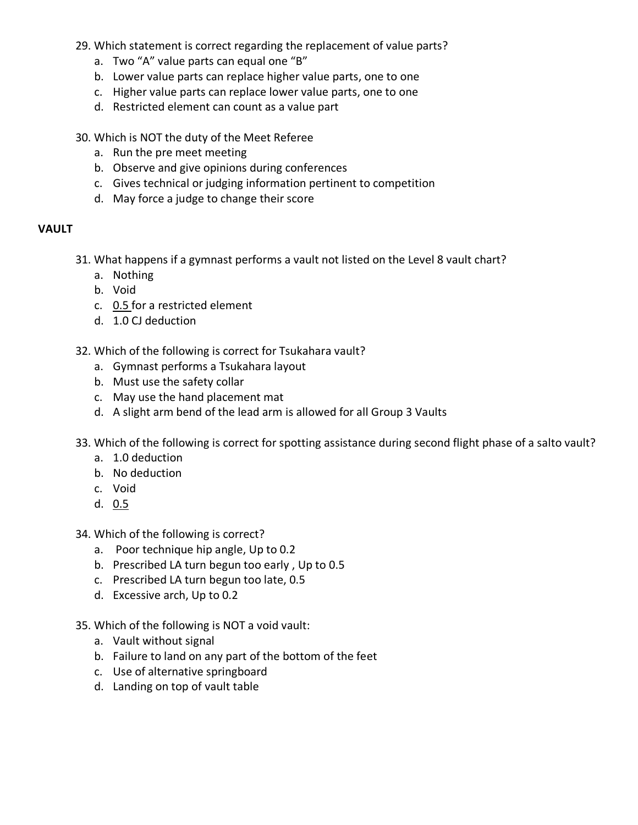- 29. Which statement is correct regarding the replacement of value parts?
	- a. Two "A" value parts can equal one "B"
	- b. Lower value parts can replace higher value parts, one to one
	- c. Higher value parts can replace lower value parts, one to one
	- d. Restricted element can count as a value part
- 30. Which is NOT the duty of the Meet Referee
	- a. Run the pre meet meeting
	- b. Observe and give opinions during conferences
	- c. Gives technical or judging information pertinent to competition
	- d. May force a judge to change their score

# **VAULT**

- 31. What happens if a gymnast performs a vault not listed on the Level 8 vault chart?
	- a. Nothing
	- b. Void
	- c. 0.5 for a restricted element
	- d. 1.0 CJ deduction
- 32. Which of the following is correct for Tsukahara vault?
	- a. Gymnast performs a Tsukahara layout
	- b. Must use the safety collar
	- c. May use the hand placement mat
	- d. A slight arm bend of the lead arm is allowed for all Group 3 Vaults
- 33. Which of the following is correct for spotting assistance during second flight phase of a salto vault?
	- a. 1.0 deduction
	- b. No deduction
	- c. Void
	- d. 0.5

34. Which of the following is correct?

- a. Poor technique hip angle, Up to 0.2
- b. Prescribed LA turn begun too early , Up to 0.5
- c. Prescribed LA turn begun too late, 0.5
- d. Excessive arch, Up to 0.2
- 35. Which of the following is NOT a void vault:
	- a. Vault without signal
	- b. Failure to land on any part of the bottom of the feet
	- c. Use of alternative springboard
	- d. Landing on top of vault table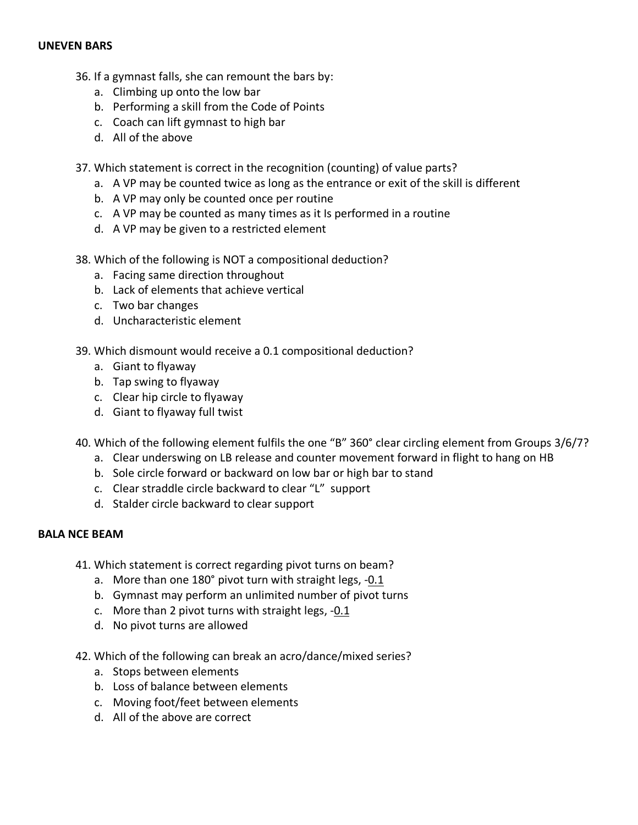# **UNEVEN BARS**

- 36. If a gymnast falls, she can remount the bars by:
	- a. Climbing up onto the low bar
	- b. Performing a skill from the Code of Points
	- c. Coach can lift gymnast to high bar
	- d. All of the above
- 37. Which statement is correct in the recognition (counting) of value parts?
	- a. A VP may be counted twice as long as the entrance or exit of the skill is different
	- b. A VP may only be counted once per routine
	- c. A VP may be counted as many times as it Is performed in a routine
	- d. A VP may be given to a restricted element
- 38. Which of the following is NOT a compositional deduction?
	- a. Facing same direction throughout
	- b. Lack of elements that achieve vertical
	- c. Two bar changes
	- d. Uncharacteristic element
- 39. Which dismount would receive a 0.1 compositional deduction?
	- a. Giant to flyaway
	- b. Tap swing to flyaway
	- c. Clear hip circle to flyaway
	- d. Giant to flyaway full twist
- 40. Which of the following element fulfils the one "B" 360° clear circling element from Groups 3/6/7?
	- a. Clear underswing on LB release and counter movement forward in flight to hang on HB
	- b. Sole circle forward or backward on low bar or high bar to stand
	- c. Clear straddle circle backward to clear "L" support
	- d. Stalder circle backward to clear support

# **BALA NCE BEAM**

- 41. Which statement is correct regarding pivot turns on beam?
	- a. More than one 180° pivot turn with straight legs, -0.1
	- b. Gymnast may perform an unlimited number of pivot turns
	- c. More than 2 pivot turns with straight legs, -0.1
	- d. No pivot turns are allowed
- 42. Which of the following can break an acro/dance/mixed series?
	- a. Stops between elements
	- b. Loss of balance between elements
	- c. Moving foot/feet between elements
	- d. All of the above are correct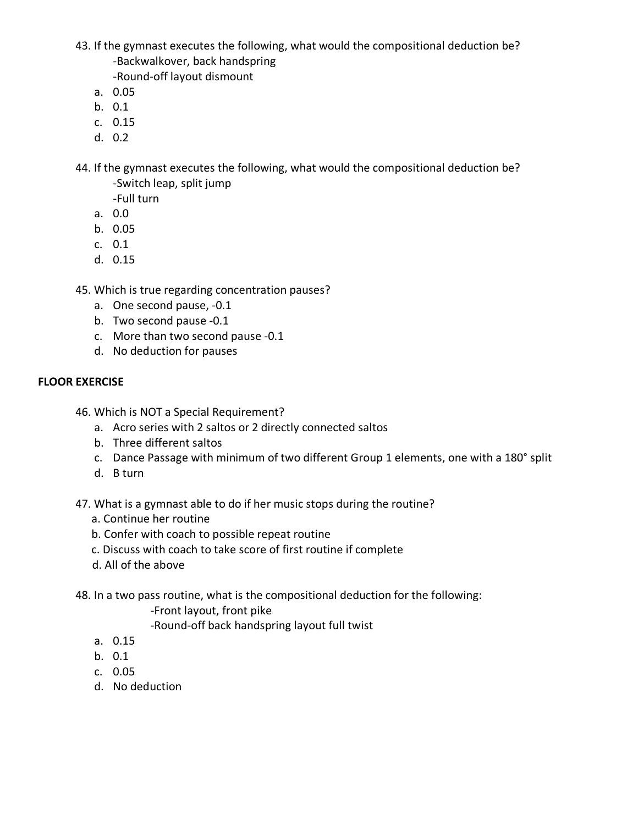- 43. If the gymnast executes the following, what would the compositional deduction be? -Backwalkover, back handspring
	- -Round-off layout dismount
	- a. 0.05
	- b. 0.1
	- c. 0.15
	- d. 0.2
- 44. If the gymnast executes the following, what would the compositional deduction be? -Switch leap, split jump
	- -Full turn
	- a. 0.0
	- b. 0.05
	- c. 0.1
	- d. 0.15
- 45. Which is true regarding concentration pauses?
	- a. One second pause, -0.1
	- b. Two second pause -0.1
	- c. More than two second pause -0.1
	- d. No deduction for pauses

# **FLOOR EXERCISE**

- 46. Which is NOT a Special Requirement?
	- a. Acro series with 2 saltos or 2 directly connected saltos
	- b. Three different saltos
	- c. Dance Passage with minimum of two different Group 1 elements, one with a 180° split
	- d. B turn

47. What is a gymnast able to do if her music stops during the routine?

- a. Continue her routine
- b. Confer with coach to possible repeat routine
- c. Discuss with coach to take score of first routine if complete
- d. All of the above

48. In a two pass routine, what is the compositional deduction for the following:

-Front layout, front pike

-Round-off back handspring layout full twist

- a. 0.15
- b. 0.1
- c. 0.05
- d. No deduction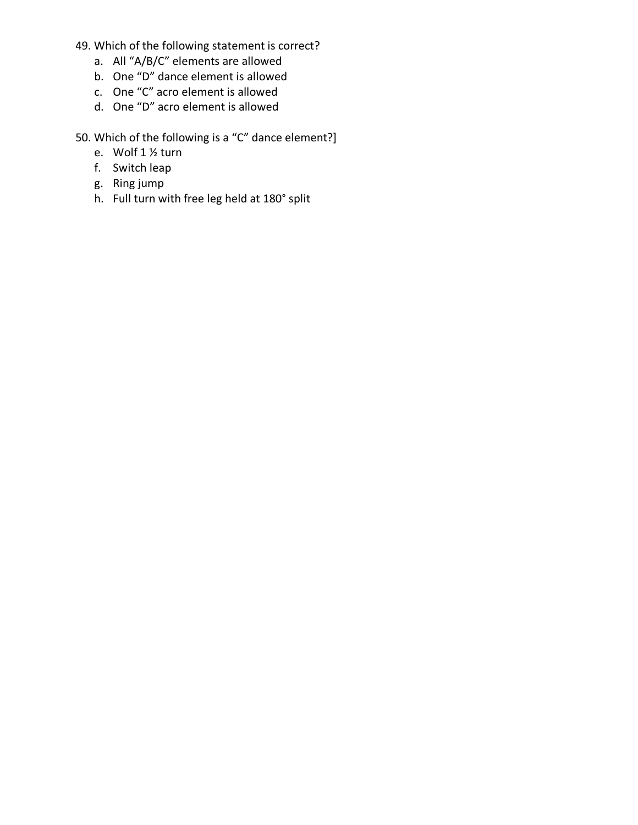- 49. Which of the following statement is correct?
	- a. All "A/B/C" elements are allowed
	- b. One "D" dance element is allowed
	- c. One "C" acro element is allowed
	- d. One "D" acro element is allowed
- 50. Which of the following is a "C" dance element?]
	- e. Wolf 1 ½ turn
	- f. Switch leap
	- g. Ring jump
	- h. Full turn with free leg held at 180° split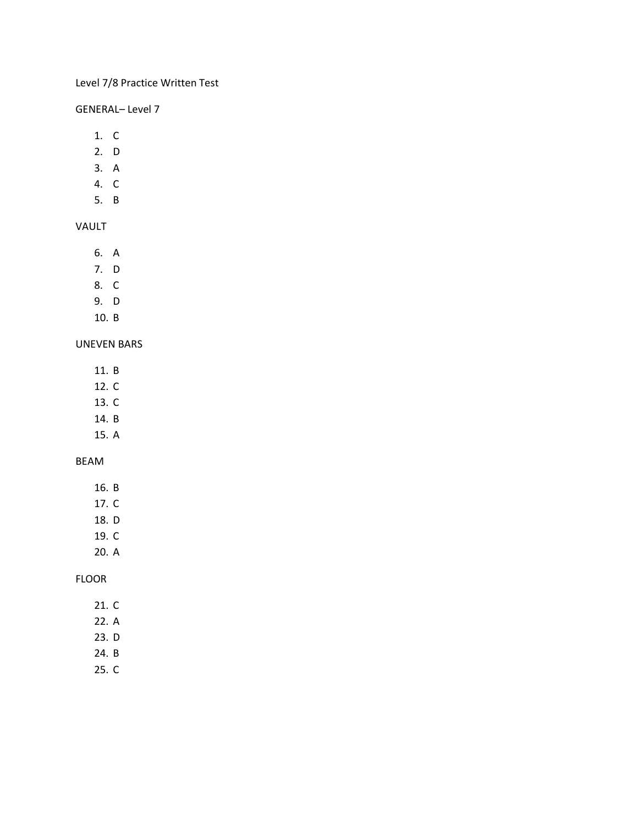# Level 7/8 Practice Written Test

### GENERAL– Level 7

- 1. C
- 2. D
- 3. A
- 4. C
- 5. B

# VAULT

- 6. A
- 7. D
- 8. C
- 9. D
- 10. B

### UNEVEN BARS

- 11. B
- 12. C
- 13. C
- 14. B
- 15. A

#### BEAM

- 16. B
- 17. C
- 18. D
- 19. C
- 20. A

#### FLOOR

- 21. C
- 22. A
- 23. D
- 24. B
- 25. C